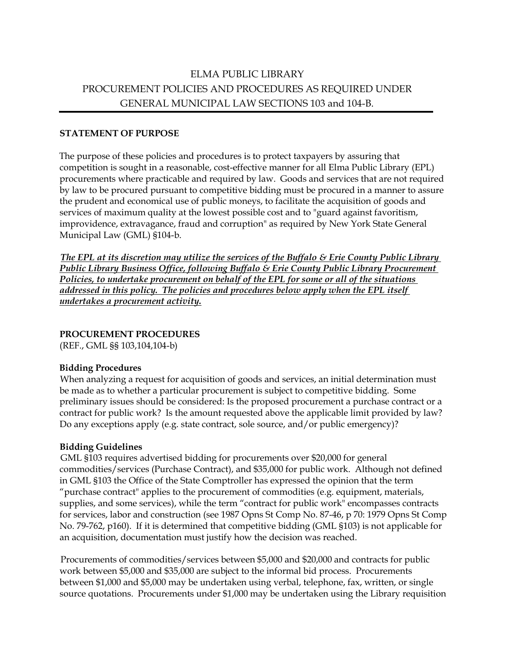# ELMA PUBLIC LIBRARY PROCUREMENT POLICIES AND PROCEDURES AS REQUIRED UNDER GENERAL MUNICIPAL LAW SECTIONS 103 and 104-B.

#### **STATEMENT OF PURPOSE**

The purpose of these policies and procedures is to protect taxpayers by assuring that competition is sought in a reasonable, cost-effective manner for all Elma Public Library (EPL) procurements where practicable and required by law. Goods and services that are not required by law to be procured pursuant to competitive bidding must be procured in a manner to assure the prudent and economical use of public moneys, to facilitate the acquisition of goods and services of maximum quality at the lowest possible cost and to "guard against favoritism, improvidence, extravagance, fraud and corruption" as required by New York State General Municipal Law (GML) §104-b.

*The EPL at its discretion may utilize the services of the Buffalo & Erie County Public Library Public Library Business Office, following Buffalo & Erie County Public Library Procurement Policies, to undertake procurement on behalf of the EPL for some or all of the situations addressed in this policy. The policies and procedures below apply when the EPL itself undertakes a procurement activity.*

## **PROCUREMENT PROCEDURES**

(REF., GML §§ 103,104,104-b)

## **Bidding Procedures**

When analyzing a request for acquisition of goods and services, an initial determination must be made as to whether a particular procurement is subject to competitive bidding. Some preliminary issues should be considered: Is the proposed procurement a purchase contract or a contract for public work? Is the amount requested above the applicable limit provided by law? Do any exceptions apply (e.g. state contract, sole source, and/or public emergency)?

#### **Bidding Guidelines**

GML §103 requires advertised bidding for procurements over \$20,000 for general commodities/services (Purchase Contract), and \$35,000 for public work. Although not defined in GML §103 the Office of the State Comptroller has expressed the opinion that the term "purchase contract" applies to the procurement of commodities (e.g. equipment, materials, supplies, and some services), while the term "contract for public work" encompasses contracts for services, labor and construction (see 1987 Opns St Comp No. 87-46, p 70: 1979 Opns St Comp No. 79-762, p160). If it is determined that competitive bidding (GML §103) is not applicable for an acquisition, documentation must justify how the decision was reached.

Procurements of commodities/services between \$5,000 and \$20,000 and contracts for public work between \$5,000 and \$35,000 are subject to the informal bid process. Procurements between \$1,000 and \$5,000 may be undertaken using verbal, telephone, fax, written, or single source quotations. Procurements under \$1,000 may be undertaken using the Library requisition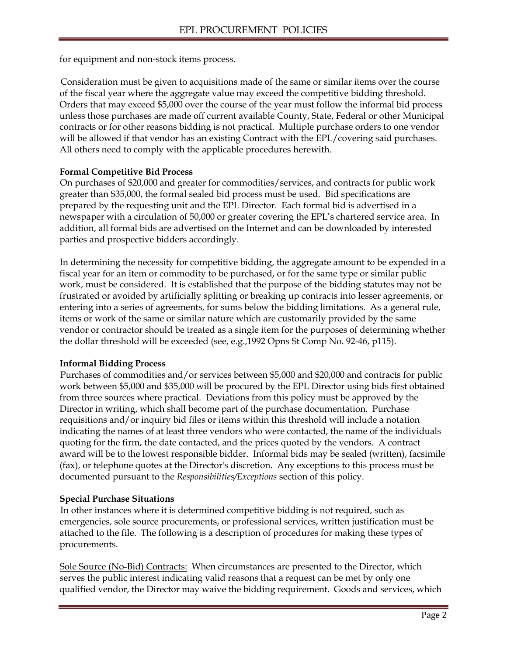for equipment and non-stock items process.

Consideration must be given to acquisitions made of the same or similar items over the course of the fiscal year where the aggregate value may exceed the competitive bidding threshold. Orders that may exceed \$5,000 over the course of the year must follow the informal bid process unless those purchases are made off current available County, State, Federal or other Municipal contracts or for other reasons bidding is not practical. Multiple purchase orders to one vendor will be allowed if that vendor has an existing Contract with the EPL/covering said purchases. All others need to comply with the applicable procedures herewith.

#### **Formal Competitive Bid Process**

On purchases of \$20,000 and greater for commodities/services, and contracts for public work greater than \$35,000, the formal sealed bid process must be used. Bid specifications are prepared by the requesting unit and the EPL Director. Each formal bid is advertised in a newspaper with a circulation of 50,000 or greater covering the EPL's chartered service area. In addition, all formal bids are advertised on the Internet and can be downloaded by interested parties and prospective bidders accordingly.

In determining the necessity for competitive bidding, the aggregate amount to be expended in a fiscal year for an item or commodity to be purchased, or for the same type or similar public work, must be considered. It is established that the purpose of the bidding statutes may not be frustrated or avoided by artificially splitting or breaking up contracts into lesser agreements, or entering into a series of agreements, for sums below the bidding limitations. As a general rule, items or work of the same or similar nature which are customarily provided by the same vendor or contractor should be treated as a single item for the purposes of determining whether the dollar threshold will be exceeded (see, e.g.,1992 Opns St Comp No. 92-46, p115).

#### **Informal Bidding Process**

Purchases of commodities and/or services between \$5,000 and \$20,000 and contracts for public work between \$5,000 and \$35,000 will be procured by the EPL Director using bids first obtained from three sources where practical. Deviations from this policy must be approved by the Director in writing, which shall become part of the purchase documentation. Purchase requisitions and/or inquiry bid files or items within this threshold will include a notation indicating the names of at least three vendors who were contacted, the name of the individuals quoting for the firm, the date contacted, and the prices quoted by the vendors. A contract award will be to the lowest responsible bidder. Informal bids may be sealed (written), facsimile (fax), or telephone quotes at the Director's discretion. Any exceptions to this process must be documented pursuant to the *Responsibilities/Exceptions* section of this policy.

## **Special Purchase Situations**

In other instances where it is determined competitive bidding is not required, such as emergencies, sole source procurements, or professional services, written justification must be attached to the file. The following is a description of procedures for making these types of procurements.

Sole Source (No-Bid) Contracts: When circumstances are presented to the Director, which serves the public interest indicating valid reasons that a request can be met by only one qualified vendor, the Director may waive the bidding requirement. Goods and services, which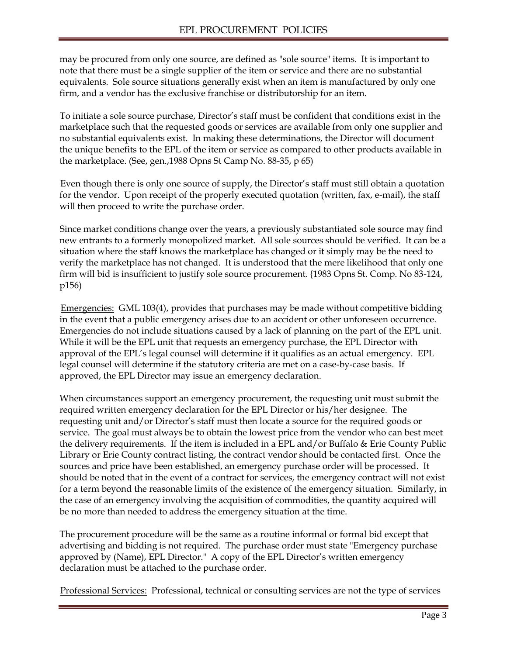may be procured from only one source, are defined as "sole source" items. It is important to note that there must be a single supplier of the item or service and there are no substantial equivalents. Sole source situations generally exist when an item is manufactured by only one firm, and a vendor has the exclusive franchise or distributorship for an item.

To initiate a sole source purchase, Director's staff must be confident that conditions exist in the marketplace such that the requested goods or services are available from only one supplier and no substantial equivalents exist. In making these determinations, the Director will document the unique benefits to the EPL of the item or service as compared to other products available in the marketplace. (See, gen.,1988 Opns St Camp No. 88-35, p 65)

Even though there is only one source of supply, the Director's staff must still obtain a quotation for the vendor. Upon receipt of the properly executed quotation (written, fax, e-mail), the staff will then proceed to write the purchase order.

Since market conditions change over the years, a previously substantiated sole source may find new entrants to a formerly monopolized market. All sole sources should be verified. It can be a situation where the staff knows the marketplace has changed or it simply may be the need to verify the marketplace has not changed. It is understood that the mere likelihood that only one firm will bid is insufficient to justify sole source procurement. {1983 Opns St. Comp. No 83-124, p156)

Emergencies: GML 103(4), provides that purchases may be made without competitive bidding in the event that a public emergency arises due to an accident or other unforeseen occurrence. Emergencies do not include situations caused by a lack of planning on the part of the EPL unit. While it will be the EPL unit that requests an emergency purchase, the EPL Director with approval of the EPL's legal counsel will determine if it qualifies as an actual emergency. EPL legal counsel will determine if the statutory criteria are met on a case-by-case basis. If approved, the EPL Director may issue an emergency declaration.

When circumstances support an emergency procurement, the requesting unit must submit the required written emergency declaration for the EPL Director or his/her designee. The requesting unit and/or Director's staff must then locate a source for the required goods or service. The goal must always be to obtain the lowest price from the vendor who can best meet the delivery requirements. If the item is included in a EPL and/or Buffalo & Erie County Public Library or Erie County contract listing, the contract vendor should be contacted first. Once the sources and price have been established, an emergency purchase order will be processed. It should be noted that in the event of a contract for services, the emergency contract will not exist for a term beyond the reasonable limits of the existence of the emergency situation. Similarly, in the case of an emergency involving the acquisition of commodities, the quantity acquired will be no more than needed to address the emergency situation at the time.

The procurement procedure will be the same as a routine informal or formal bid except that advertising and bidding is not required. The purchase order must state "Emergency purchase approved by (Name), EPL Director." A copy of the EPL Director's written emergency declaration must be attached to the purchase order.

Professional Services: Professional, technical or consulting services are not the type of services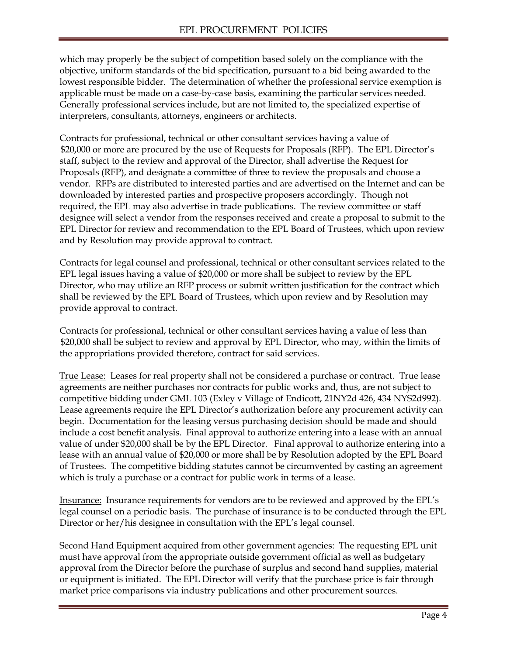which may properly be the subject of competition based solely on the compliance with the objective, uniform standards of the bid specification, pursuant to a bid being awarded to the lowest responsible bidder. The determination of whether the professional service exemption is applicable must be made on a case-by-case basis, examining the particular services needed. Generally professional services include, but are not limited to, the specialized expertise of interpreters, consultants, attorneys, engineers or architects.

Contracts for professional, technical or other consultant services having a value of \$20,000 or more are procured by the use of Requests for Proposals (RFP). The EPL Director's staff, subject to the review and approval of the Director, shall advertise the Request for Proposals (RFP), and designate a committee of three to review the proposals and choose a vendor. RFPs are distributed to interested parties and are advertised on the Internet and can be downloaded by interested parties and prospective proposers accordingly. Though not required, the EPL may also advertise in trade publications. The review committee or staff designee will select a vendor from the responses received and create a proposal to submit to the EPL Director for review and recommendation to the EPL Board of Trustees, which upon review and by Resolution may provide approval to contract.

Contracts for legal counsel and professional, technical or other consultant services related to the EPL legal issues having a value of \$20,000 or more shall be subject to review by the EPL Director, who may utilize an RFP process or submit written justification for the contract which shall be reviewed by the EPL Board of Trustees, which upon review and by Resolution may provide approval to contract.

Contracts for professional, technical or other consultant services having a value of less than \$20,000 shall be subject to review and approval by EPL Director, who may, within the limits of the appropriations provided therefore, contract for said services.

True Lease: Leases for real property shall not be considered a purchase or contract. True lease agreements are neither purchases nor contracts for public works and, thus, are not subject to competitive bidding under GML 103 (Exley v Village of Endicott, 21NY2d 426, 434 NYS2d992). Lease agreements require the EPL Director's authorization before any procurement activity can begin. Documentation for the leasing versus purchasing decision should be made and should include a cost benefit analysis. Final approval to authorize entering into a lease with an annual value of under \$20,000 shall be by the EPL Director. Final approval to authorize entering into a lease with an annual value of \$20,000 or more shall be by Resolution adopted by the EPL Board of Trustees. The competitive bidding statutes cannot be circumvented by casting an agreement which is truly a purchase or a contract for public work in terms of a lease.

Insurance: Insurance requirements for vendors are to be reviewed and approved by the EPL's legal counsel on a periodic basis. The purchase of insurance is to be conducted through the EPL Director or her/his designee in consultation with the EPL's legal counsel.

Second Hand Equipment acquired from other government agencies: The requesting EPL unit must have approval from the appropriate outside government official as well as budgetary approval from the Director before the purchase of surplus and second hand supplies, material or equipment is initiated. The EPL Director will verify that the purchase price is fair through market price comparisons via industry publications and other procurement sources.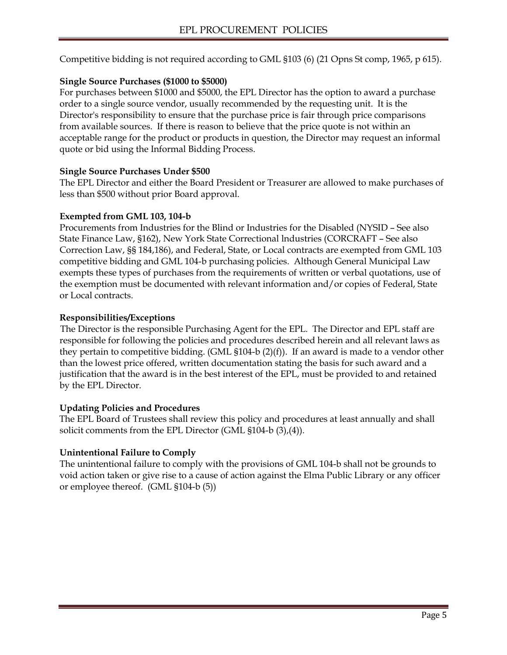Competitive bidding is not required according to GML §103 (6) (21 Opns St comp, 1965, p 615).

# **Single Source Purchases (\$1000 to \$5000)**

For purchases between \$1000 and \$5000, the EPL Director has the option to award a purchase order to a single source vendor, usually recommended by the requesting unit. It is the Director's responsibility to ensure that the purchase price is fair through price comparisons from available sources. If there is reason to believe that the price quote is not within an acceptable range for the product or products in question, the Director may request an informal quote or bid using the Informal Bidding Process.

# **Single Source Purchases Under \$500**

The EPL Director and either the Board President or Treasurer are allowed to make purchases of less than \$500 without prior Board approval.

# **Exempted from GML 103, 104-b**

Procurements from Industries for the Blind or Industries for the Disabled (NYSID – See also State Finance Law, §162), New York State Correctional lndustries (CORCRAFT – See also Correction Law, §§ 184,186), and Federal, State, or Local contracts are exempted from GML 103 competitive bidding and GML 104-b purchasing policies. Although General Municipal Law exempts these types of purchases from the requirements of written or verbal quotations, use of the exemption must be documented with relevant information and/or copies of Federal, State or Local contracts.

# **Responsibilities/Exceptions**

The Director is the responsible Purchasing Agent for the EPL. The Director and EPL staff are responsible for following the policies and procedures described herein and all relevant laws as they pertain to competitive bidding. (GML  $$104-b (2)(f)$ ). If an award is made to a vendor other than the lowest price offered, written documentation stating the basis for such award and a justification that the award is in the best interest of the EPL, must be provided to and retained by the EPL Director.

# **Updating Policies and Procedures**

The EPL Board of Trustees shall review this policy and procedures at least annually and shall solicit comments from the EPL Director (GML §104-b (3),(4)).

# **Unintentional Failure to Comply**

The unintentional failure to comply with the provisions of GML 104-b shall not be grounds to void action taken or give rise to a cause of action against the Elma Public Library or any officer or employee thereof. (GML §104-b (5))